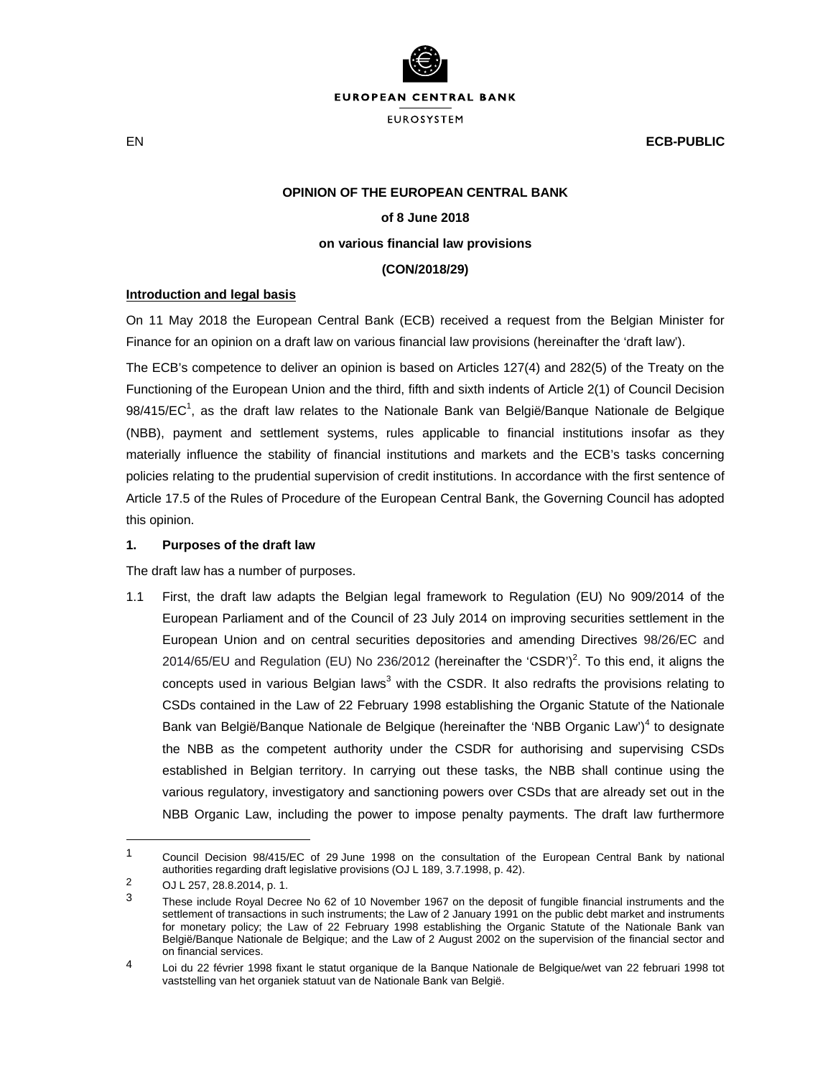

EN **ECB-PUBLIC**

#### **OPINION OF THE EUROPEAN CENTRAL BANK**

# **of 8 June 2018**

#### **on various financial law provisions**

### **(CON/2018/29)**

### **Introduction and legal basis**

On 11 May 2018 the European Central Bank (ECB) received a request from the Belgian Minister for Finance for an opinion on a draft law on various financial law provisions (hereinafter the 'draft law').

The ECB's competence to deliver an opinion is based on Articles 127(4) and 282(5) of the Treaty on the Functioning of the European Union and the third, fifth and sixth indents of Article 2(1) of Council Decision 98/415/EC<sup>1</sup>, as the draft law relates to the Nationale Bank van België/Banque Nationale de Belgique (NBB), payment and settlement systems, rules applicable to financial institutions insofar as they materially influence the stability of financial institutions and markets and the ECB's tasks concerning policies relating to the prudential supervision of credit institutions. In accordance with the first sentence of Article 17.5 of the Rules of Procedure of the European Central Bank, the Governing Council has adopted this opinion.

### **1. Purposes of the draft law**

The draft law has a number of purposes.

1.1 First, the draft law adapts the Belgian legal framework to Regulation (EU) No 909/2014 of the European Parliament and of the Council of 23 July 2014 on improving securities settlement in the European Union and on central securities depositories and amending Directives 98/26/EC and 2014/65/EU and Regulation (EU) No 236/2012 (hereinafter the 'CSDR')<sup>2</sup>. To this end, it aligns the concepts used in various Belgian laws<sup>3</sup> with the CSDR. It also redrafts the provisions relating to CSDs contained in the Law of 22 February 1998 establishing the Organic Statute of the Nationale Bank van België/Banque Nationale de Belgique (hereinafter the 'NBB Organic Law')<sup>4</sup> to designate the NBB as the competent authority under the CSDR for authorising and supervising CSDs established in Belgian territory. In carrying out these tasks, the NBB shall continue using the various regulatory, investigatory and sanctioning powers over CSDs that are already set out in the NBB Organic Law, including the power to impose penalty payments. The draft law furthermore

 $\overline{a}$ 

<sup>1</sup> Council Decision 98/415/EC of 29 June 1998 on the consultation of the European Central Bank by national authorities regarding draft legislative provisions (OJ L 189, 3.7.1998, p. 42).

<sup>2</sup> OJ L 257, 28.8.2014, p. 1.

These include Royal Decree No 62 of 10 November 1967 on the deposit of fungible financial instruments and the settlement of transactions in such instruments; the Law of 2 January 1991 on the public debt market and instruments for monetary policy; the Law of 22 February 1998 establishing the Organic Statute of the Nationale Bank van België/Banque Nationale de Belgique; and the Law of 2 August 2002 on the supervision of the financial sector and on financial services.

<sup>4</sup> Loi du 22 février 1998 fixant le statut organique de la Banque Nationale de Belgique/wet van 22 februari 1998 tot vaststelling van het organiek statuut van de Nationale Bank van België.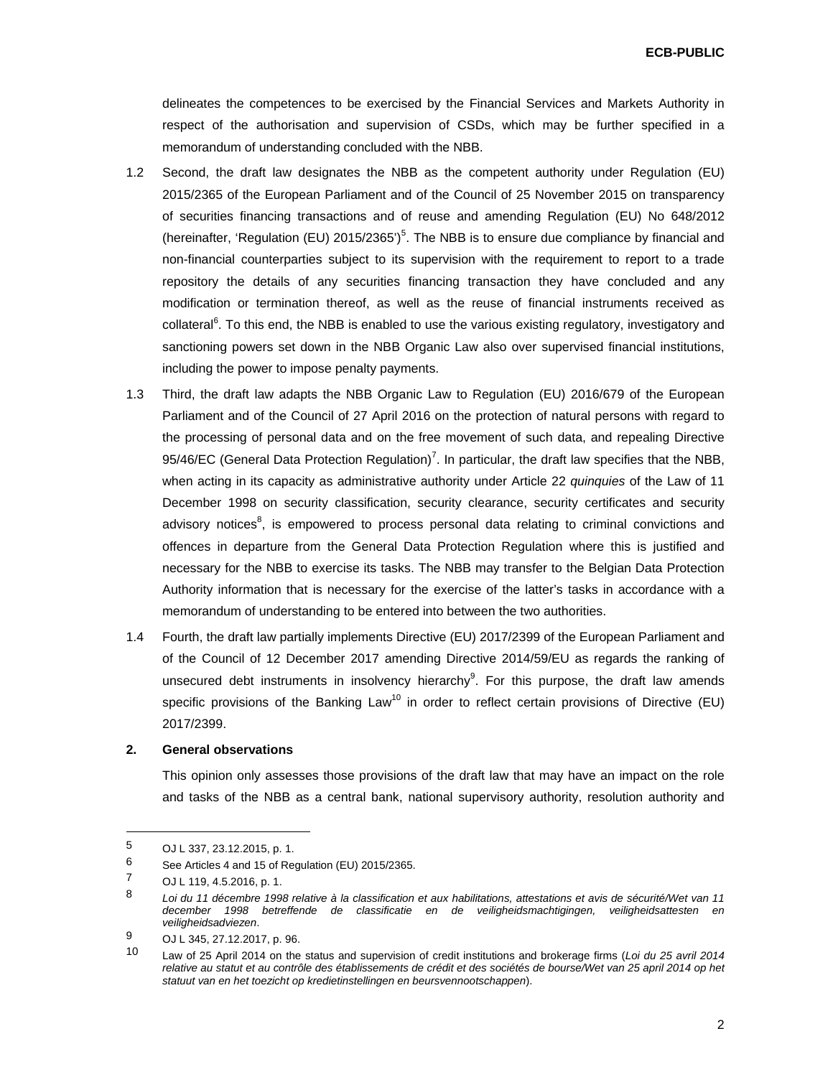**ECB-PUBLIC**

delineates the competences to be exercised by the Financial Services and Markets Authority in respect of the authorisation and supervision of CSDs, which may be further specified in a memorandum of understanding concluded with the NBB.

- 1.2 Second, the draft law designates the NBB as the competent authority under Regulation (EU) 2015/2365 of the European Parliament and of the Council of 25 November 2015 on transparency of securities financing transactions and of reuse and amending Regulation (EU) No 648/2012 (hereinafter, 'Regulation (EU)  $2015/2365'$ <sup>5</sup>. The NBB is to ensure due compliance by financial and non-financial counterparties subject to its supervision with the requirement to report to a trade repository the details of any securities financing transaction they have concluded and any modification or termination thereof, as well as the reuse of financial instruments received as collateral<sup>6</sup>. To this end, the NBB is enabled to use the various existing regulatory, investigatory and sanctioning powers set down in the NBB Organic Law also over supervised financial institutions, including the power to impose penalty payments.
- 1.3 Third, the draft law adapts the NBB Organic Law to Regulation (EU) 2016/679 of the European Parliament and of the Council of 27 April 2016 on the protection of natural persons with regard to the processing of personal data and on the free movement of such data, and repealing Directive 95/46/EC (General Data Protection Regulation)<sup>7</sup>. In particular, the draft law specifies that the NBB, when acting in its capacity as administrative authority under Article 22 *quinquies* of the Law of 11 December 1998 on security classification, security clearance, security certificates and security advisory notices<sup>8</sup>, is empowered to process personal data relating to criminal convictions and offences in departure from the General Data Protection Regulation where this is justified and necessary for the NBB to exercise its tasks. The NBB may transfer to the Belgian Data Protection Authority information that is necessary for the exercise of the latter's tasks in accordance with a memorandum of understanding to be entered into between the two authorities.
- 1.4 Fourth, the draft law partially implements Directive (EU) 2017/2399 of the European Parliament and of the Council of 12 December 2017 amending Directive 2014/59/EU as regards the ranking of unsecured debt instruments in insolvency hierarchy<sup>9</sup>. For this purpose, the draft law amends specific provisions of the Banking Law<sup>10</sup> in order to reflect certain provisions of Directive (EU) 2017/2399.

# **2. General observations**

This opinion only assesses those provisions of the draft law that may have an impact on the role and tasks of the NBB as a central bank, national supervisory authority, resolution authority and

 $\overline{a}$ 

<sup>5</sup> OJ L 337, 23.12.2015, p. 1.<br>6 See Articles 4 and 15 of Per

<sup>&</sup>lt;sup>6</sup> See Articles 4 and 15 of Regulation (EU) 2015/2365.<br>
<sup>7</sup> O U 119 4 5 2016 p. 1

 $\frac{7}{8}$  OJ L 119, 4.5.2016, p. 1.

<sup>8</sup> *Loi du 11 décembre 1998 relative à la classification et aux habilitations, attestations et avis de sécurité/Wet van 11 december 1998 betreffende de classificatie en de veiligheidsmachtigingen, veiligheidsattesten en veiligheidsadviezen*.

<sup>9</sup> OJ L 345, 27.12.2017, p. 96.

<sup>10</sup> Law of 25 April 2014 on the status and supervision of credit institutions and brokerage firms (*Loi du 25 avril 2014 relative au statut et au contrôle des établissements de crédit et des sociétés de bourse/Wet van 25 april 2014 op het statuut van en het toezicht op kredietinstellingen en beursvennootschappen*).